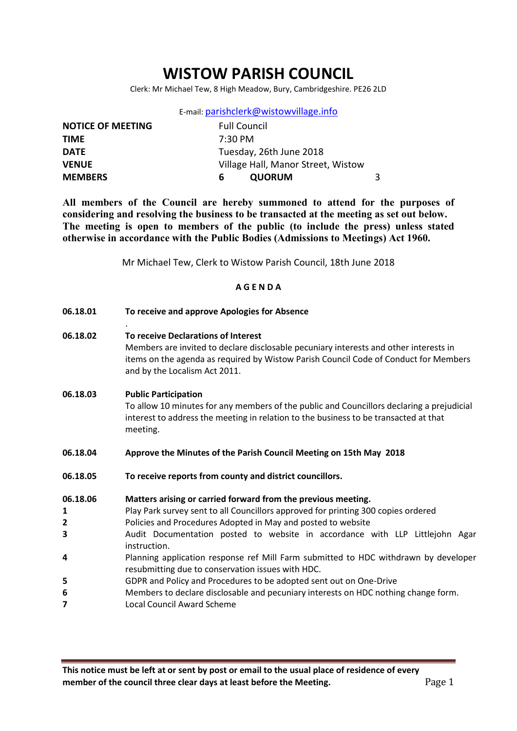# WISTOW PARISH COUNCIL

Clerk: Mr Michael Tew, 8 High Meadow, Bury, Cambridgeshire. PE26 2LD

E-mail: parishclerk@wistowvillage.info

| <b>NOTICE OF MEETING</b> | <b>Full Council</b>                |  |  |
|--------------------------|------------------------------------|--|--|
| <b>TIME</b>              | $7:30 \text{ PM}$                  |  |  |
| <b>DATE</b>              | Tuesday, 26th June 2018            |  |  |
| <b>VENUE</b>             | Village Hall, Manor Street, Wistow |  |  |
| <b>MEMBERS</b>           | <b>QUORUM</b><br>6                 |  |  |

All members of the Council are hereby summoned to attend for the purposes of considering and resolving the business to be transacted at the meeting as set out below. The meeting is open to members of the public (to include the press) unless stated otherwise in accordance with the Public Bodies (Admissions to Meetings) Act 1960.

Mr Michael Tew, Clerk to Wistow Parish Council, 18th June 2018

#### A G E N D A

| 06.18.01                                                                     | To receive and approve Apologies for Absence                                                                                                                                                                                                                                                                                                                                                                                                                                                                                                                                                                                                                    |  |
|------------------------------------------------------------------------------|-----------------------------------------------------------------------------------------------------------------------------------------------------------------------------------------------------------------------------------------------------------------------------------------------------------------------------------------------------------------------------------------------------------------------------------------------------------------------------------------------------------------------------------------------------------------------------------------------------------------------------------------------------------------|--|
| 06.18.02                                                                     | To receive Declarations of Interest<br>Members are invited to declare disclosable pecuniary interests and other interests in<br>items on the agenda as required by Wistow Parish Council Code of Conduct for Members<br>and by the Localism Act 2011.                                                                                                                                                                                                                                                                                                                                                                                                           |  |
| 06.18.03                                                                     | <b>Public Participation</b><br>To allow 10 minutes for any members of the public and Councillors declaring a prejudicial<br>interest to address the meeting in relation to the business to be transacted at that<br>meeting.                                                                                                                                                                                                                                                                                                                                                                                                                                    |  |
| 06.18.04                                                                     | Approve the Minutes of the Parish Council Meeting on 15th May 2018                                                                                                                                                                                                                                                                                                                                                                                                                                                                                                                                                                                              |  |
| 06.18.05                                                                     | To receive reports from county and district councillors.                                                                                                                                                                                                                                                                                                                                                                                                                                                                                                                                                                                                        |  |
| 06.18.06<br>1<br>$\mathbf{2}$<br>3<br>4<br>5<br>6<br>$\overline{\mathbf{z}}$ | Matters arising or carried forward from the previous meeting.<br>Play Park survey sent to all Councillors approved for printing 300 copies ordered<br>Policies and Procedures Adopted in May and posted to website<br>Audit Documentation posted to website in accordance with LLP Littlejohn Agar<br>instruction.<br>Planning application response ref Mill Farm submitted to HDC withdrawn by developer<br>resubmitting due to conservation issues with HDC.<br>GDPR and Policy and Procedures to be adopted sent out on One-Drive<br>Members to declare disclosable and pecuniary interests on HDC nothing change form.<br><b>Local Council Award Scheme</b> |  |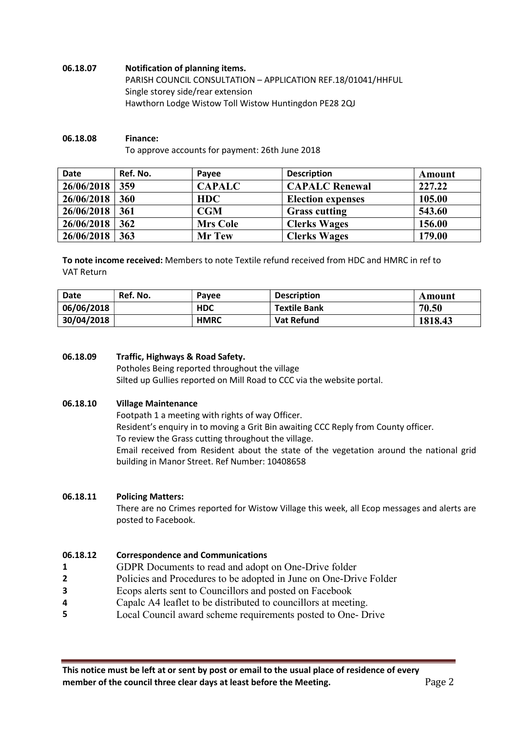#### 06.18.07 Notification of planning items. PARISH COUNCIL CONSULTATION – APPLICATION REF.18/01041/HHFUL Single storey side/rear extension Hawthorn Lodge Wistow Toll Wistow Huntingdon PE28 2QJ

# 06.18.08 Finance:

To approve accounts for payment: 26th June 2018

| Date             | Ref. No. | Pavee           | <b>Description</b>       | Amount |
|------------------|----------|-----------------|--------------------------|--------|
| 26/06/2018       | 359      | <b>CAPALC</b>   | <b>CAPALC Renewal</b>    | 227.22 |
| 26/06/2018       | 360      | <b>HDC</b>      | <b>Election expenses</b> | 105.00 |
| $26/06/2018$ 361 |          | CGM             | <b>Grass cutting</b>     | 543.60 |
| 26/06/2018       | 362      | <b>Mrs Cole</b> | <b>Clerks Wages</b>      | 156.00 |
| 26/06/2018       | 363      | <b>Mr Tew</b>   | <b>Clerks Wages</b>      | 179.00 |

To note income received: Members to note Textile refund received from HDC and HMRC in ref to VAT Return

| Date       | Ref. No. | Pavee       | <b>Description</b>  | Amount  |
|------------|----------|-------------|---------------------|---------|
| 06/06/2018 |          | <b>HDC</b>  | <b>Textile Bank</b> | 70.50   |
| 30/04/2018 |          | <b>HMRC</b> | <b>Vat Refund</b>   | 1818.43 |

#### 06.18.09 Traffic, Highways & Road Safety.

Potholes Being reported throughout the village Silted up Gullies reported on Mill Road to CCC via the website portal.

#### 06.18.10 Village Maintenance

Footpath 1 a meeting with rights of way Officer. Resident's enquiry in to moving a Grit Bin awaiting CCC Reply from County officer. To review the Grass cutting throughout the village. Email received from Resident about the state of the vegetation around the national grid building in Manor Street. Ref Number: 10408658

#### 06.18.11 Policing Matters:

There are no Crimes reported for Wistow Village this week, all Ecop messages and alerts are posted to Facebook.

#### 06.18.12 Correspondence and Communications

- 1 GDPR Documents to read and adopt on One-Drive folder
- 2 Policies and Procedures to be adopted in June on One-Drive Folder
- 3 Ecops alerts sent to Councillors and posted on Facebook
- 4 Capalc A4 leaflet to be distributed to councillors at meeting.
- 5 Local Council award scheme requirements posted to One- Drive